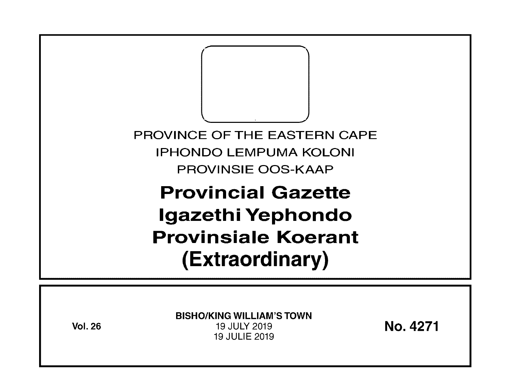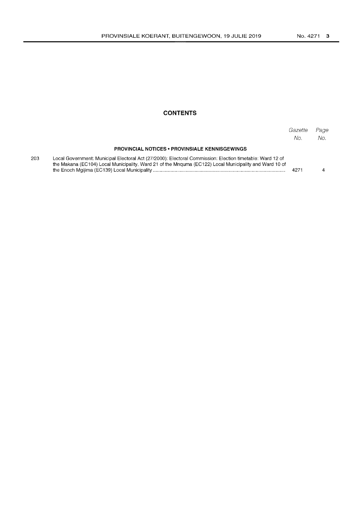## **CONTENTS**

|                                                                                                                                                                                                                     | Gazette<br>No. | Page<br>No. |
|---------------------------------------------------------------------------------------------------------------------------------------------------------------------------------------------------------------------|----------------|-------------|
| <b>PROVINCIAL NOTICES • PROVINSIALE KENNISGEWINGS</b>                                                                                                                                                               |                |             |
| Local Government: Municipal Electoral Act (27/2000): Electoral Commission: Election timetable: Ward 12 of<br>the Makana (EC104) Local Municipality, Ward 21 of the Mnguma (EC122) Local Municipality and Ward 10 of | 4271           |             |

203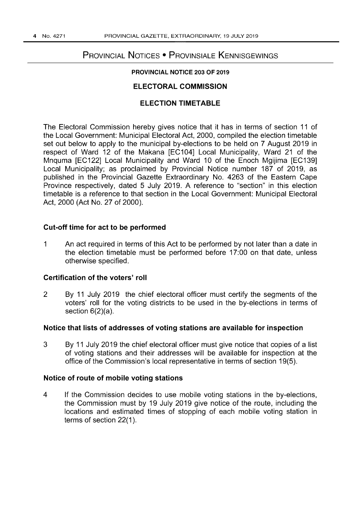# PROVINCIAL NOTICES • PROVINSIALE KENNISGEWINGS

## PROVINCIAL NOTICE 203 OF 2019

# ELECTORAL COMMISSION

# ELECTION TIMETABLE

The Electoral Commission hereby gives notice that it has in terms of section 11 of the Local Government: Municipal Electoral Act, 2000, compiled the election timetable set out below to apply to the municipal by-elections to be held on 7 August 2019 in respect of Ward 12 of the Makana [EC104] Local Municipality, Ward 21 of the Mnquma [EC122] Local Municipality and Ward 10 of the Enoch Mgijima [EC139] Local Municipality; as proclaimed by Provincial Notice number 187 of 2019, as published in the Provincial Gazette Extraordinary No. 4263 of the Eastern Cape Province respectively, dated 5 July 2019. A reference to "section" in this election timetable is a reference to that section in the Local Government: Municipal Electoral Act, 2000 (Act No. 27 of 2000).

#### Cut-off time for act to be performed

1 An act required in terms of this Act to be performed by not later than a date in the election timetable must be performed before 17:00 on that date, unless otherwise specified.

## Certification of the voters' roll

2 By 11 July 2019 the chief electoral officer must certify the segments of the voters' roll for the voting districts to be used in the by-elections in terms of section 6(2)(a).

# Notice that lists of addresses of voting stations are available for inspection

3 By 11 July 2019 the chief electoral officer must give notice that copies of a list of voting stations and their addresses will be available for inspection at the office of the Commission's local representative in terms of section 19(5).

#### Notice of route of mobile voting stations

4 If the Commission decides to use mobile voting stations in the by-elections, the Commission must by 19 July 2019 give notice of the route, including the locations and estimated times of stopping of each mobile voting station in terms of section 22(1).